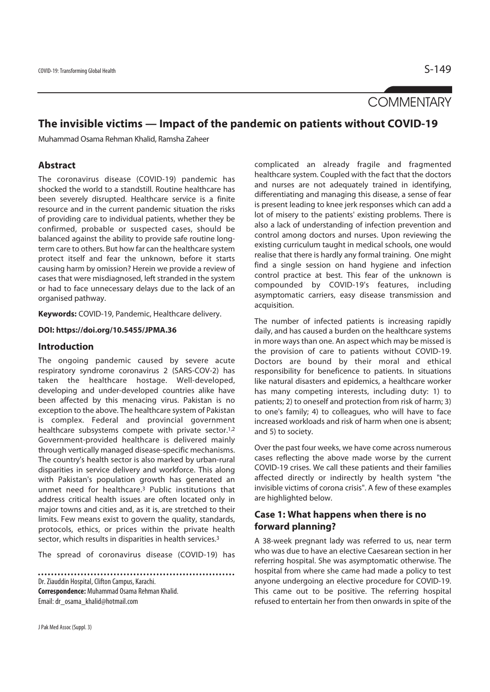# **COMMENTARY**

# **The invisible victims — Impact of the pandemic on patients without COVID-19**

Muhammad Osama Rehman Khalid, Ramsha Zaheer

## **Abstract**

The coronavirus disease (COVID-19) pandemic has shocked the world to a standstill. Routine healthcare has been severely disrupted. Healthcare service is a finite resource and in the current pandemic situation the risks of providing care to individual patients, whether they be confirmed, probable or suspected cases, should be balanced against the ability to provide safe routine longterm care to others. But how far can the healthcare system protect itself and fear the unknown, before it starts causing harm by omission? Herein we provide a review of cases that were misdiagnosed, left stranded in the system or had to face unnecessary delays due to the lack of an organised pathway.

**Keywords:** COVID-19, Pandemic, Healthcare delivery.

#### **DOI: https://doi.org/10.5455/JPMA.36**

#### **Introduction**

The ongoing pandemic caused by severe acute respiratory syndrome coronavirus 2 (SARS-COV-2) has taken the healthcare hostage. Well-developed, developing and under-developed countries alike have been affected by this menacing virus. Pakistan is no exception to the above. The healthcare system of Pakistan is complex. Federal and provincial government healthcare subsystems compete with private sector.<sup>1,2</sup> Government-provided healthcare is delivered mainly through vertically managed disease-specific mechanisms. The country's health sector is also marked by urban-rural disparities in service delivery and workforce. This along with Pakistan's population growth has generated an unmet need for healthcare.3 Public institutions that address critical health issues are often located only in major towns and cities and, as it is, are stretched to their limits. Few means exist to govern the quality, standards, protocols, ethics, or prices within the private health sector, which results in disparities in health services.<sup>3</sup>

The spread of coronavirus disease (COVID-19) has

Dr. Ziauddin Hospital, Clifton Campus, Karachi. **Correspondence:** Muhammad Osama Rehman Khalid. Email: dr\_osama\_khalid@hotmail.com

complicated an already fragile and fragmented healthcare system. Coupled with the fact that the doctors and nurses are not adequately trained in identifying, differentiating and managing this disease, a sense of fear is present leading to knee jerk responses which can add a lot of misery to the patients' existing problems. There is also a lack of understanding of infection prevention and control among doctors and nurses. Upon reviewing the existing curriculum taught in medical schools, one would realise that there is hardly any formal training. One might find a single session on hand hygiene and infection control practice at best. This fear of the unknown is compounded by COVID-19's features, including asymptomatic carriers, easy disease transmission and acquisition.

The number of infected patients is increasing rapidly daily, and has caused a burden on the healthcare systems in more ways than one. An aspect which may be missed is the provision of care to patients without COVID-19. Doctors are bound by their moral and ethical responsibility for beneficence to patients. In situations like natural disasters and epidemics, a healthcare worker has many competing interests, including duty: 1) to patients; 2) to oneself and protection from risk of harm; 3) to one's family; 4) to colleagues, who will have to face increased workloads and risk of harm when one is absent; and 5) to society.

Over the past four weeks, we have come across numerous cases reflecting the above made worse by the current COVID-19 crises. We call these patients and their families affected directly or indirectly by health system "the invisible victims of corona crisis". A few of these examples are highlighted below.

## **Case 1: What happens when there is no forward planning?**

A 38-week pregnant lady was referred to us, near term who was due to have an elective Caesarean section in her referring hospital. She was asymptomatic otherwise. The hospital from where she came had made a policy to test anyone undergoing an elective procedure for COVID-19. This came out to be positive. The referring hospital refused to entertain her from then onwards in spite of the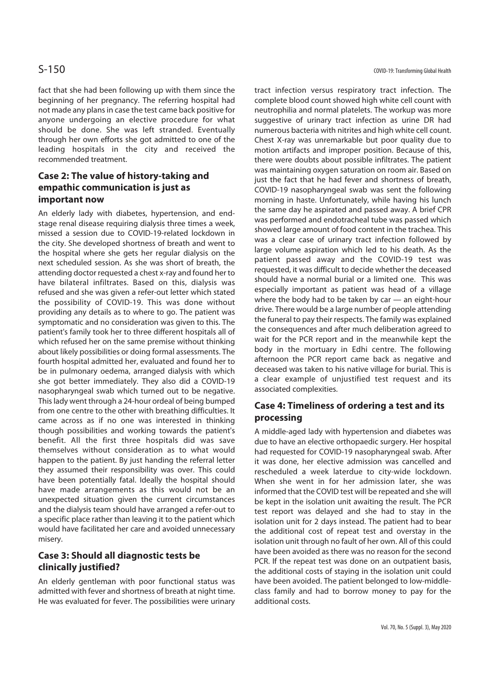fact that she had been following up with them since the beginning of her pregnancy. The referring hospital had not made any plans in case the test came back positive for anyone undergoing an elective procedure for what should be done. She was left stranded. Eventually through her own efforts she got admitted to one of the leading hospitals in the city and received the recommended treatment.

## **Case 2: The value of history-taking and empathic communication is just as important now**

An elderly lady with diabetes, hypertension, and endstage renal disease requiring dialysis three times a week, missed a session due to COVID-19-related lockdown in the city. She developed shortness of breath and went to the hospital where she gets her regular dialysis on the next scheduled session. As she was short of breath, the attending doctor requested a chest x-ray and found her to have bilateral infiltrates. Based on this, dialysis was refused and she was given a refer-out letter which stated the possibility of COVID-19. This was done without providing any details as to where to go. The patient was symptomatic and no consideration was given to this. The patient's family took her to three different hospitals all of which refused her on the same premise without thinking about likely possibilities or doing formal assessments. The fourth hospital admitted her, evaluated and found her to be in pulmonary oedema, arranged dialysis with which she got better immediately. They also did a COVID-19 nasopharyngeal swab which turned out to be negative. This lady went through a 24-hour ordeal of being bumped from one centre to the other with breathing difficulties. It came across as if no one was interested in thinking though possibilities and working towards the patient's benefit. All the first three hospitals did was save themselves without consideration as to what would happen to the patient. By just handing the referral letter they assumed their responsibility was over. This could have been potentially fatal. Ideally the hospital should have made arrangements as this would not be an unexpected situation given the current circumstances and the dialysis team should have arranged a refer-out to a specific place rather than leaving it to the patient which would have facilitated her care and avoided unnecessary misery.

## **Case 3: Should all diagnostic tests be clinically justified?**

An elderly gentleman with poor functional status was admitted with fever and shortness of breath at night time. He was evaluated for fever. The possibilities were urinary tract infection versus respiratory tract infection. The complete blood count showed high white cell count with neutrophilia and normal platelets. The workup was more suggestive of urinary tract infection as urine DR had numerous bacteria with nitrites and high white cell count. Chest X-ray was unremarkable but poor quality due to motion artifacts and improper position. Because of this, there were doubts about possible infiltrates. The patient was maintaining oxygen saturation on room air. Based on just the fact that he had fever and shortness of breath, COVID-19 nasopharyngeal swab was sent the following morning in haste. Unfortunately, while having his lunch the same day he aspirated and passed away. A brief CPR was performed and endotracheal tube was passed which showed large amount of food content in the trachea. This was a clear case of urinary tract infection followed by large volume aspiration which led to his death. As the patient passed away and the COVID-19 test was requested, it was difficult to decide whether the deceased should have a normal burial or a limited one. This was especially important as patient was head of a village where the body had to be taken by car — an eight-hour drive. There would be a large number of people attending the funeral to pay their respects. The family was explained the consequences and after much deliberation agreed to wait for the PCR report and in the meanwhile kept the body in the mortuary in Edhi centre. The following afternoon the PCR report came back as negative and deceased was taken to his native village for burial. This is a clear example of unjustified test request and its associated complexities.

## **Case 4: Timeliness of ordering a test and its processing**

A middle-aged lady with hypertension and diabetes was due to have an elective orthopaedic surgery. Her hospital had requested for COVID-19 nasopharyngeal swab. After it was done, her elective admission was cancelled and rescheduled a week laterdue to city-wide lockdown. When she went in for her admission later, she was informed that the COVID test will be repeated and she will be kept in the isolation unit awaiting the result. The PCR test report was delayed and she had to stay in the isolation unit for 2 days instead. The patient had to bear the additional cost of repeat test and overstay in the isolation unit through no fault of her own. All of this could have been avoided as there was no reason for the second PCR. If the repeat test was done on an outpatient basis, the additional costs of staying in the isolation unit could have been avoided. The patient belonged to low-middleclass family and had to borrow money to pay for the additional costs.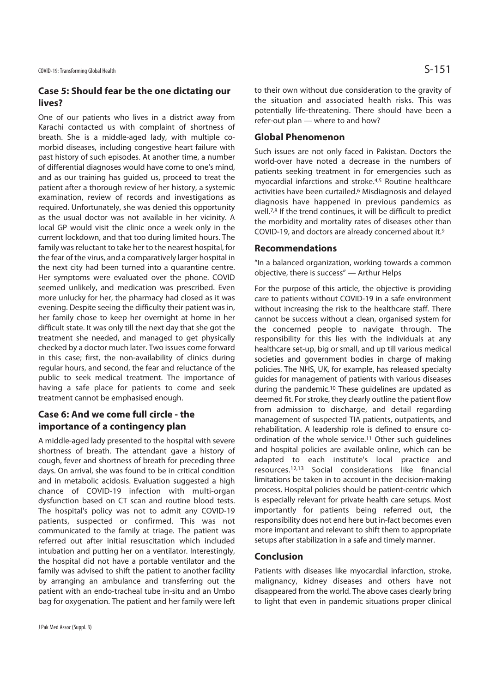## **Case 5: Should fear be the one dictating our lives?**

One of our patients who lives in a district away from Karachi contacted us with complaint of shortness of breath. She is a middle-aged lady, with multiple comorbid diseases, including congestive heart failure with past history of such episodes. At another time, a number of differential diagnoses would have come to one's mind, and as our training has guided us, proceed to treat the patient after a thorough review of her history, a systemic examination, review of records and investigations as required. Unfortunately, she was denied this opportunity as the usual doctor was not available in her vicinity. A local GP would visit the clinic once a week only in the current lockdown, and that too during limited hours. The family was reluctant to take her to the nearest hospital, for the fear of the virus, and a comparatively larger hospital in the next city had been turned into a quarantine centre. Her symptoms were evaluated over the phone. COVID seemed unlikely, and medication was prescribed. Even more unlucky for her, the pharmacy had closed as it was evening. Despite seeing the difficulty their patient was in, her family chose to keep her overnight at home in her difficult state. It was only till the next day that she got the treatment she needed, and managed to get physically checked by a doctor much later. Two issues come forward in this case; first, the non-availability of clinics during regular hours, and second, the fear and reluctance of the public to seek medical treatment. The importance of having a safe place for patients to come and seek treatment cannot be emphasised enough.

## **Case 6: And we come full circle - the importance of a contingency plan**

A middle-aged lady presented to the hospital with severe shortness of breath. The attendant gave a history of cough, fever and shortness of breath for preceding three days. On arrival, she was found to be in critical condition and in metabolic acidosis. Evaluation suggested a high chance of COVID-19 infection with multi-organ dysfunction based on CT scan and routine blood tests. The hospital's policy was not to admit any COVID-19 patients, suspected or confirmed. This was not communicated to the family at triage. The patient was referred out after initial resuscitation which included intubation and putting her on a ventilator. Interestingly, the hospital did not have a portable ventilator and the family was advised to shift the patient to another facility by arranging an ambulance and transferring out the patient with an endo-tracheal tube in-situ and an Umbo bag for oxygenation. The patient and her family were left

to their own without due consideration to the gravity of the situation and associated health risks. This was potentially life-threatening. There should have been a refer-out plan — where to and how?

### **Global Phenomenon**

Such issues are not only faced in Pakistan. Doctors the world-over have noted a decrease in the numbers of patients seeking treatment in for emergencies such as myocardial infarctions and stroke.4,5 Routine healthcare activities have been curtailed.6 Misdiagnosis and delayed diagnosis have happened in previous pandemics as well.<sup>7,8</sup> If the trend continues, it will be difficult to predict the morbidity and mortality rates of diseases other than COVID-19, and doctors are already concerned about it.9

#### **Recommendations**

"In a balanced organization, working towards a common objective, there is success" — Arthur Helps

For the purpose of this article, the objective is providing care to patients without COVID-19 in a safe environment without increasing the risk to the healthcare staff. There cannot be success without a clean, organised system for the concerned people to navigate through. The responsibility for this lies with the individuals at any healthcare set-up, big or small, and up till various medical societies and government bodies in charge of making policies. The NHS, UK, for example, has released specialty guides for management of patients with various diseases during the pandemic.10 These guidelines are updated as deemed fit. For stroke, they clearly outline the patient flow from admission to discharge, and detail regarding management of suspected TIA patients, outpatients, and rehabilitation. A leadership role is defined to ensure coordination of the whole service.<sup>11</sup> Other such quidelines and hospital policies are available online, which can be adapted to each institute's local practice and resources.12,13 Social considerations like financial limitations be taken in to account in the decision-making process. Hospital policies should be patient-centric which is especially relevant for private health care setups. Most importantly for patients being referred out, the responsibility does not end here but in-fact becomes even more important and relevant to shift them to appropriate setups after stabilization in a safe and timely manner.

#### **Conclusion**

Patients with diseases like myocardial infarction, stroke, malignancy, kidney diseases and others have not disappeared from the world. The above cases clearly bring to light that even in pandemic situations proper clinical